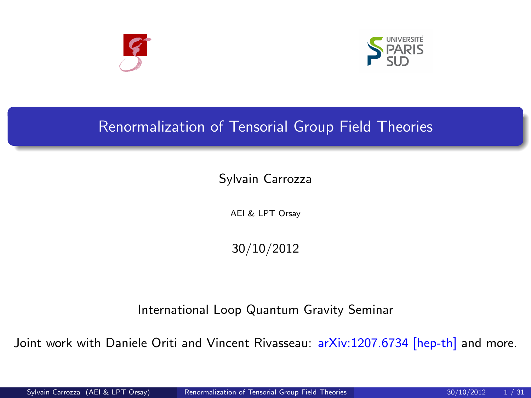



## Renormalization of Tensorial Group Field Theories

Sylvain Carrozza

AEI & LPT Orsay

<span id="page-0-0"></span>30/10/2012

International Loop Quantum Gravity Seminar

Joint work with Daniele Oriti and Vincent Rivasseau: arXiv:1207.6734 [hep-th] and more.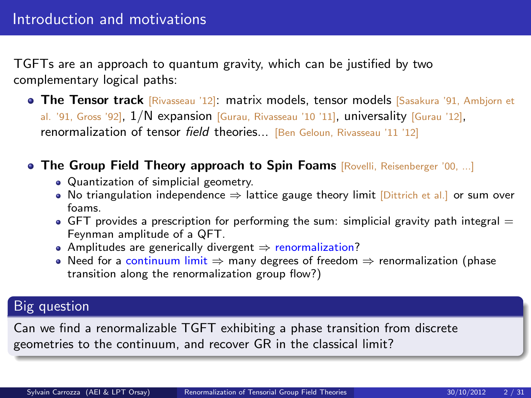TGFTs are an approach to quantum gravity, which can be justified by two complementary logical paths:

- **The Tensor track** [Rivasseau '12]: matrix models, tensor models [Sasakura '91, Ambjorn et al. '91, Gross '92],  $1/N$  expansion [Gurau, Rivasseau '10 '11], universality [Gurau '12], renormalization of tensor field theories... [Ben Geloun, Rivasseau '11 '12]
- **The Group Field Theory approach to Spin Foams** [Rovelli, Reisenberger '00, ...]
	- Quantization of simplicial geometry.
	- No triangulation independence  $\Rightarrow$  lattice gauge theory limit [Dittrich et al.] or sum over foams.
	- $\bullet$  GFT provides a prescription for performing the sum: simplicial gravity path integral  $=$ Feynman amplitude of a QFT.
	- Amplitudes are generically divergent  $\Rightarrow$  renormalization?
	- Need for a continuum limit  $\Rightarrow$  many degrees of freedom  $\Rightarrow$  renormalization (phase transition along the renormalization group flow?)

### Big question

Can we find a renormalizable TGFT exhibiting a phase transition from discrete geometries to the continuum, and recover GR in the classical limit?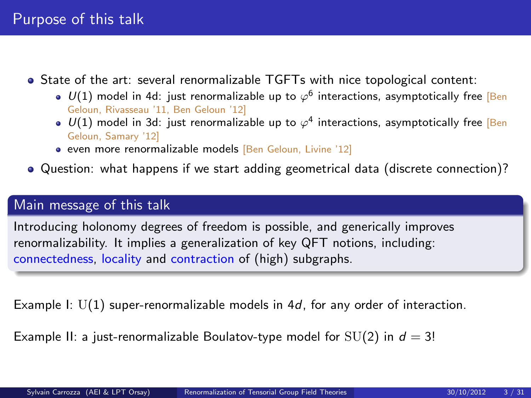- $\bullet$  State of the art: several renormalizable TGFTs with nice topological content:
	- $U(1)$  model in 4d: just renormalizable up to  $\varphi^6$  interactions, asymptotically free [Ben] Geloun, Rivasseau '11, Ben Geloun '12]
	- $U(1)$  model in 3d: just renormalizable up to  $\varphi^4$  interactions, asymptotically free [Ben] Geloun, Samary '12]
	- even more renormalizable models [Ben Geloun, Livine '12]
- Question: what happens if we start adding geometrical data (discrete connection)?

### Main message of this talk

Introducing holonomy degrees of freedom is possible, and generically improves renormalizability. It implies a generalization of key QFT notions, including: connectedness, locality and contraction of (high) subgraphs.

Example I:  $U(1)$  super-renormalizable models in 4d, for any order of interaction.

Example II: a just-renormalizable Boulatov-type model for  $SU(2)$  in  $d = 3!$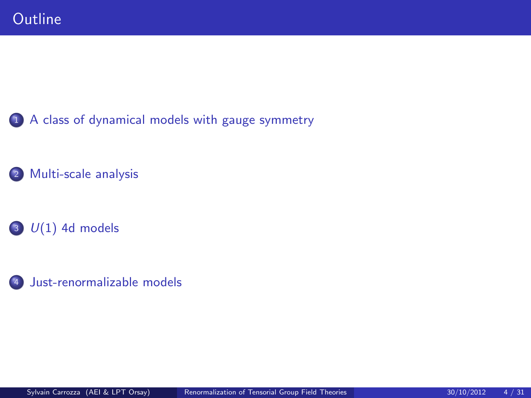[A class of dynamical models with gauge symmetry](#page-4-0)

- [Multi-scale analysis](#page-14-0)
- $U(1)$  4d models
- [Just-renormalizable models](#page-25-0)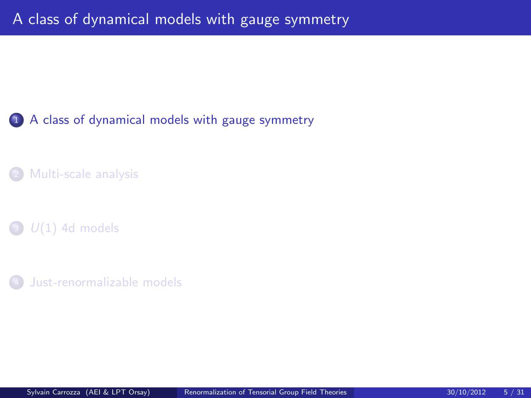### 1 [A class of dynamical models with gauge symmetry](#page-4-0)

[Multi-scale analysis](#page-14-0)

 $\bigcirc$   $U(1)$  4d models

<span id="page-4-0"></span>[Just-renormalizable models](#page-25-0)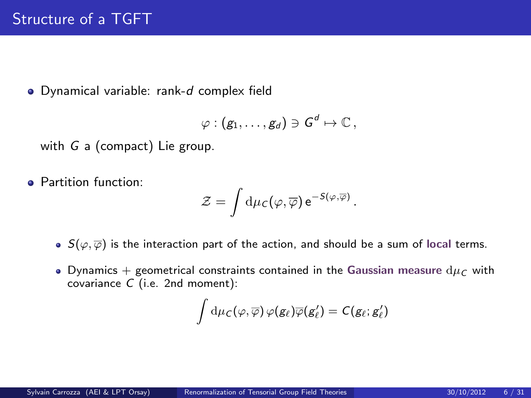Dynamical variable: rank-d complex field

$$
\varphi: (g_1,\ldots,g_d)\ni G^d\mapsto \mathbb{C}\,,
$$

with G a (compact) Lie group.

**• Partition function:** 

$$
\mathcal{Z} = \int d\mu_C(\varphi, \overline{\varphi}) e^{-S(\varphi, \overline{\varphi})}.
$$

- $S(\varphi, \overline{\varphi})$  is the interaction part of the action, and should be a sum of local terms.
- Dynamics + geometrical constraints contained in the Gaussian measure  $d\mu_C$  with covariance C (i.e. 2nd moment):

$$
\int \mathrm{d}\mu_C(\varphi,\overline{\varphi})\,\varphi(g_\ell)\overline{\varphi}(g'_\ell)=C(g_\ell;g'_\ell)
$$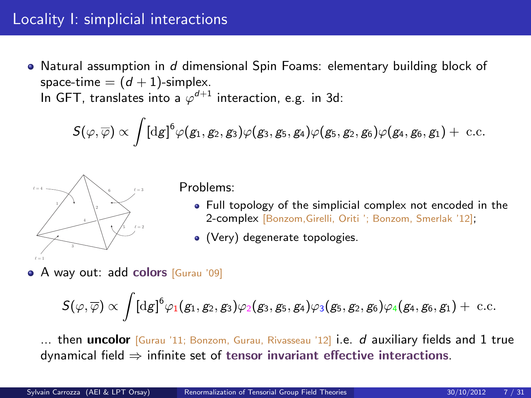## Locality I: simplicial interactions

• Natural assumption in d dimensional Spin Foams: elementary building block of space-time  $= (d + 1)$ -simplex. In GFT, translates into a  $\varphi^{d+1}$  interaction, e.g. in 3d:

$$
\mathcal{S}(\varphi,\overline{\varphi})\propto\int[\mathrm{d} g]^{6}\varphi(g_1,g_2,g_3)\varphi(g_3,g_5,g_4)\varphi(g_5,g_2,g_6)\varphi(g_4,g_6,g_1)+\text{ c.c.}
$$



Problems:

- Full topology of the simplicial complex not encoded in the 2-complex [Bonzom,Girelli, Oriti '; Bonzom, Smerlak '12];
- (Very) degenerate topologies.
- **A** way out: add colors [Gurau '09]

$$
S(\varphi,\overline{\varphi})\propto\int[\mathrm{d} g]^6\varphi_1(g_1,g_2,g_3)\varphi_2(g_3,g_5,g_4)\varphi_3(g_5,g_2,g_6)\varphi_4(g_4,g_6,g_1)+\text{ c.c.}
$$

... then uncolor  $Gurau$  '11; Bonzom, Gurau, Rivasseau '12] i.e.  $d$  auxiliary fields and 1 true dynamical field  $\Rightarrow$  infinite set of tensor invariant effective interactions.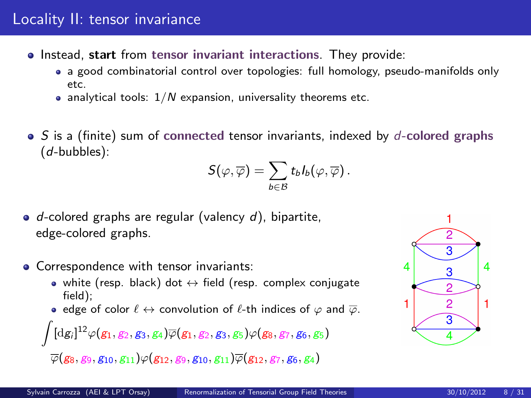- o Instead, start from tensor invariant interactions. They provide:
	- a good combinatorial control over topologies: full homology, pseudo-manifolds only etc.
	- analytical tools:  $1/N$  expansion, universality theorems etc.
- $\bullet$  S is a (finite) sum of connected tensor invariants, indexed by d-colored graphs (d-bubbles):

$$
\mathcal{S}(\varphi,\overline{\varphi})=\sum_{b\in\mathcal{B}}t_bI_b(\varphi,\overline{\varphi})\,.
$$

- $\bullet$  d-colored graphs are regular (valency d), bipartite, edge-colored graphs.
- Correspondence with tensor invariants:
	- white (resp. black) dot  $\leftrightarrow$  field (resp. complex conjugate field);
	- edge of color  $\ell \leftrightarrow$  convolution of  $\ell$ -th indices of  $\varphi$  and  $\overline{\varphi}$ .

$$
\int [dg_i]^{12}\varphi(g_1,g_2,g_3,g_4)\overline{\varphi}(g_1,g_2,g_3,g_5)\varphi(g_8,g_7,g_6,g_5)
$$

 $\overline{\varphi}({g_8},{g_9},{g_{10}},{g_{11}})\varphi({g_{12}},{g_9},{g_{10}},{g_{11}})\overline{\varphi}({g_{12}},{g_7},{g_6},{g_4})$ 

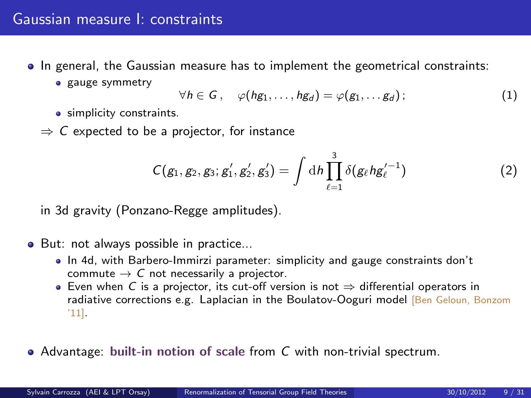### Gaussian measure I: constraints

- $\bullet$  In general, the Gaussian measure has to implement the geometrical constraints:
	- **e** gauge symmetry

$$
\forall h \in G, \quad \varphi(hg_1,\ldots,hg_d) = \varphi(g_1,\ldots g_d); \qquad (1)
$$

- simplicity constraints.
- $\Rightarrow$  C expected to be a projector, for instance

$$
C(g_1, g_2, g_3; g_1', g_2', g_3') = \int \mathrm{d}h \prod_{\ell=1}^3 \delta(g_\ell h g_\ell'^{-1}) \tag{2}
$$

in 3d gravity (Ponzano-Regge amplitudes).

- But: not always possible in practice...
	- In 4d, with Barbero-Immirzi parameter: simplicity and gauge constraints don't commute  $\rightarrow$  C not necessarily a projector.
	- Even when C is a projector, its cut-off version is not  $\Rightarrow$  differential operators in radiative corrections e.g. Laplacian in the Boulatov-Ooguri model [Ben Geloun, Bonzom '11].
- Advantage: built-in notion of scale from  $C$  with non-trivial spectrum.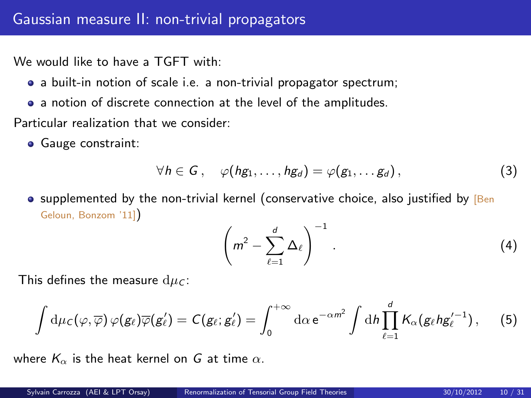We would like to have a TGFT with:

- a built-in notion of scale i.e. a non-trivial propagator spectrum;
- a notion of discrete connection at the level of the amplitudes.

Particular realization that we consider:

**Gauge constraint:** 

$$
\forall h \in G, \quad \varphi(hg_1,\ldots,hg_d) = \varphi(g_1,\ldots,g_d), \qquad (3)
$$

 $\bullet$  supplemented by the non-trivial kernel (conservative choice, also justified by [Ben] Geloun, Bonzom '11])

$$
\left(m^2-\sum_{\ell=1}^d\Delta_\ell\right)^{-1}.\tag{4}
$$

This defines the measure  $d\mu_C$ :

$$
\int d\mu_c(\varphi,\overline{\varphi})\,\varphi(g_\ell)\overline{\varphi}(g'_\ell)=C(g_\ell;g'_\ell)=\int_0^{+\infty}d\alpha\,e^{-\alpha m^2}\int dh\prod_{\ell=1}^dK_\alpha(g_\ell hg'^{-1}_\ell)\,,\quad \ \ (5)
$$

where  $K_{\alpha}$  is the heat kernel on G at time  $\alpha$ .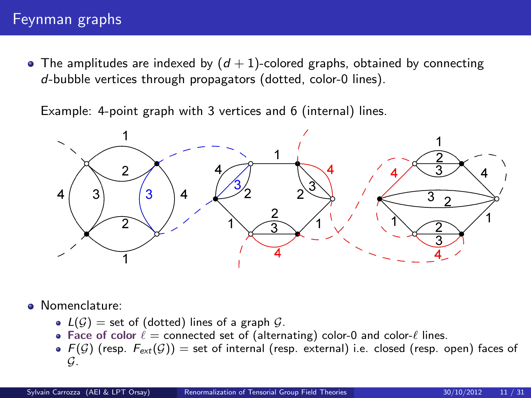### Feynman graphs

• The amplitudes are indexed by  $(d + 1)$ -colored graphs, obtained by connecting d-bubble vertices through propagators (dotted, color-0 lines).

Example: 4-point graph with 3 vertices and 6 (internal) lines.



- Nomenclature:
	- $L(G)$  = set of (dotted) lines of a graph  $G$ .
	- Face of color  $\ell$  = connected set of (alternating) color-0 and color- $\ell$  lines.
	- $\bullet$   $F(\mathcal{G})$  (resp.  $F_{ext}(\mathcal{G})$ ) = set of internal (resp. external) i.e. closed (resp. open) faces of G.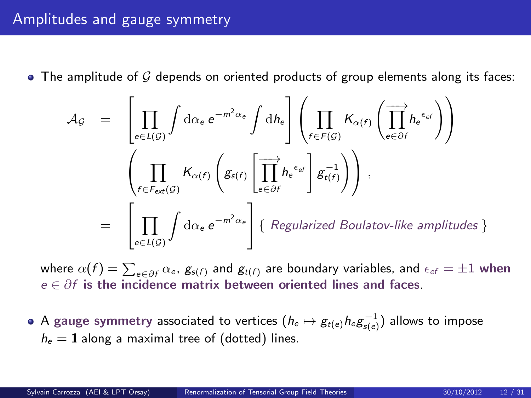## Amplitudes and gauge symmetry

 $\bullet$  The amplitude of  ${\cal G}$  depends on oriented products of group elements along its faces:

$$
\mathcal{A}_{\mathcal{G}} = \left[ \prod_{e \in L(\mathcal{G})} \int d\alpha_e e^{-m^2 \alpha_e} \int dh_e \right] \left( \prod_{f \in F(\mathcal{G})} K_{\alpha(f)} \left( \overrightarrow{\prod_{e \in \partial f}} h_e^{\epsilon_{ef}} \right) \right)
$$

$$
= \left[ \prod_{e \in L(\mathcal{G})} \int d\alpha_e e^{-m^2 \alpha_e} \right] \left\{ \text{Regularized Boulatov-like amplitudes} \right\}
$$

where  $\alpha(f)=\sum_{e\in\partial f}\alpha_e$ ,  $\mathcal{g}_{s(f)}$  and  $\mathcal{g}_{t(f)}$  are boundary variables, and  $\epsilon_{ef}=\pm1$  when  $e \in \partial f$  is the incidence matrix between oriented lines and faces.

A gauge symmetry associated to vertices  $(h_e\mapsto g_{t(e)}h_e g_{s(e)}^{-1})$  allows to impose  $h_e = 1$  along a maximal tree of (dotted) lines.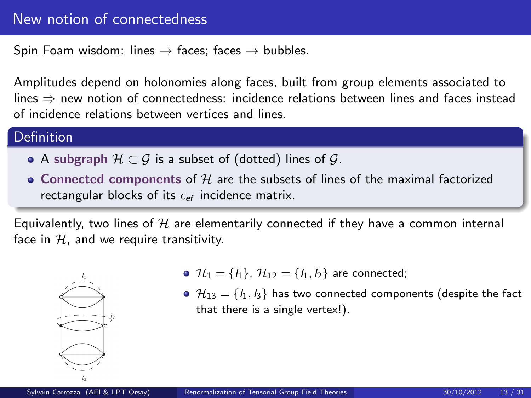### New notion of connectedness

Spin Foam wisdom: lines  $\rightarrow$  faces; faces  $\rightarrow$  bubbles.

Amplitudes depend on holonomies along faces, built from group elements associated to lines ⇒ new notion of connectedness: incidence relations between lines and faces instead of incidence relations between vertices and lines.

#### Definition

- A subgraph  $\mathcal{H} \subset \mathcal{G}$  is a subset of (dotted) lines of  $\mathcal{G}$ .
- $\bullet$  Connected components of  ${\mathcal H}$  are the subsets of lines of the maximal factorized rectangular blocks of its  $\epsilon_{ef}$  incidence matrix.

Equivalently, two lines of  $H$  are elementarily connected if they have a common internal face in  $H$ , and we require transitivity.



- $\mathcal{H}_1 = \{l_1\}, \ \mathcal{H}_{12} = \{l_1, l_2\}$  are connected;
- $\mathcal{H}_{13} = \{l_1, l_3\}$  has two connected components (despite the fact that there is a single vertex!).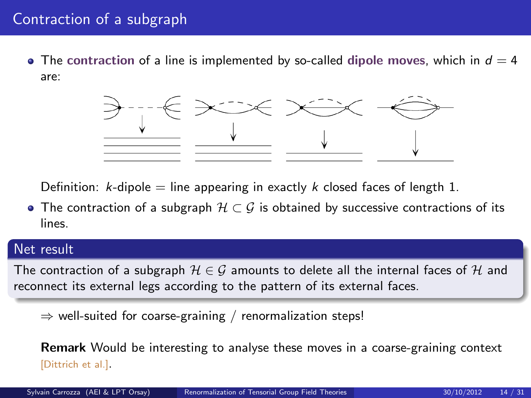## Contraction of a subgraph

• The contraction of a line is implemented by so-called dipole moves, which in  $d = 4$ are:



Definition: k-dipole  $=$  line appearing in exactly k closed faces of length 1.

• The contraction of a subgraph  $H \subset G$  is obtained by successive contractions of its lines.

#### Net result

The contraction of a subgraph  $\mathcal{H} \in \mathcal{G}$  amounts to delete all the internal faces of  $\mathcal{H}$  and reconnect its external legs according to the pattern of its external faces.

 $\Rightarrow$  well-suited for coarse-graining / renormalization steps!

Remark Would be interesting to analyse these moves in a coarse-graining context [Dittrich et al.].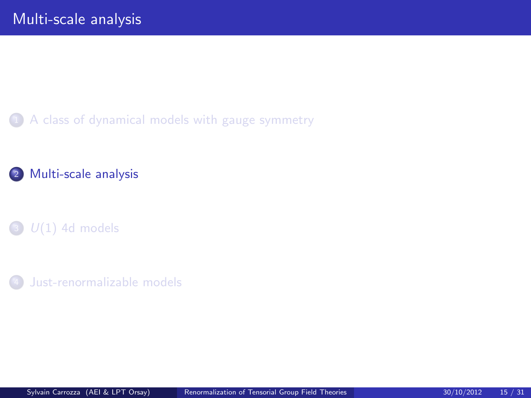1 [A class of dynamical models with gauge symmetry](#page-4-0)

### 2 [Multi-scale analysis](#page-14-0)

 $\bullet$   $U(1)$  4d models

<span id="page-14-0"></span>[Just-renormalizable models](#page-25-0)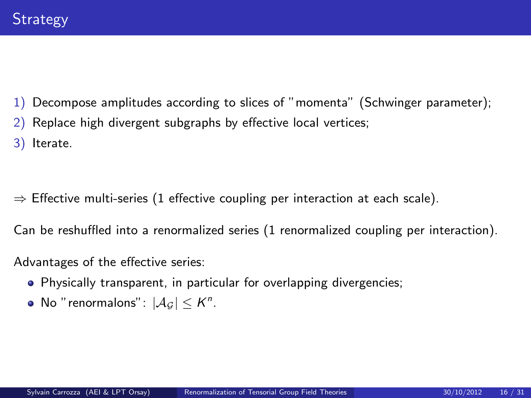- 1) Decompose amplitudes according to slices of "momenta" (Schwinger parameter);
- 2) Replace high divergent subgraphs by effective local vertices;
- 3) Iterate.
- $\Rightarrow$  Effective multi-series (1 effective coupling per interaction at each scale).

Can be reshuffled into a renormalized series (1 renormalized coupling per interaction).

Advantages of the effective series:

- Physically transparent, in particular for overlapping divergencies;
- No "renormalons":  $|\mathcal{A}_{\mathcal{G}}| \leq K^n$ .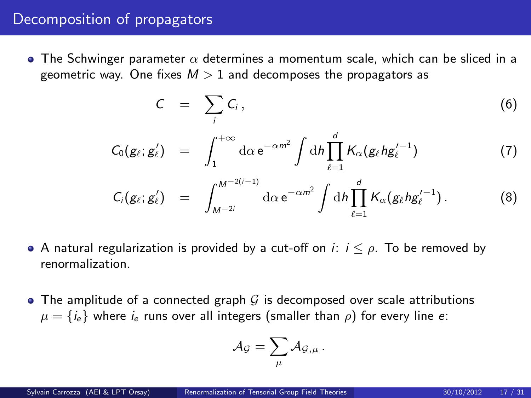### Decomposition of propagators

 $\bullet$  The Schwinger parameter  $\alpha$  determines a momentum scale, which can be sliced in a geometric way. One fixes  $M > 1$  and decomposes the propagators as

$$
C = \sum_i C_i, \qquad (6)
$$

$$
C_0(g_{\ell};g'_{\ell}) = \int_1^{+\infty} d\alpha \, e^{-\alpha m^2} \int dh \prod_{\ell=1}^d K_{\alpha}(g_{\ell}hg_{\ell}'^{-1}) \tag{7}
$$

$$
C_i(g_{\ell};g'_{\ell}) = \int_{M^{-2i}}^{M^{-2(i-1)}} \mathrm{d}\alpha \, \mathrm{e}^{-\alpha m^2} \int \mathrm{d}h \prod_{\ell=1}^d K_{\alpha}(g_{\ell} h g_{\ell}'^{-1}). \tag{8}
$$

- A natural regularization is provided by a cut-off on  $i: i \leq \rho$ . To be removed by renormalization.
- $\bullet$  The amplitude of a connected graph G is decomposed over scale attributions  $\mu = \{i_e\}$  where  $i_e$  runs over all integers (smaller than  $\rho$ ) for every line e:

$$
{\cal A}_{\cal G} = \sum_\mu {\cal A}_{{\cal G},\mu} \, .
$$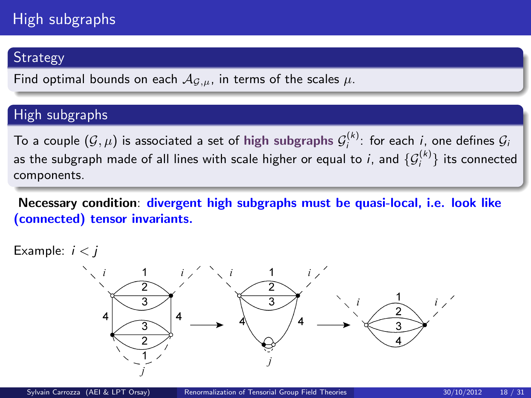# High subgraphs

## **Strategy**

Find optimal bounds on each  $A_{G,\mu}$ , in terms of the scales  $\mu$ .

### High subgraphs

To a couple  $(\mathcal{G}, \mu)$  is associated a set of high subgraphs  $\mathcal{G}_i^{(k)}$ : for each i, one defines  $\mathcal{G}_i$ as the subgraph made of all lines with scale higher or equal to  $i$ , and  $\{\mathcal{G}_i^{(k)}\}$  its connected components.

Necessary condition: divergent high subgraphs must be quasi-local, i.e. look like (connected) tensor invariants.

Example:  $i < j$ 

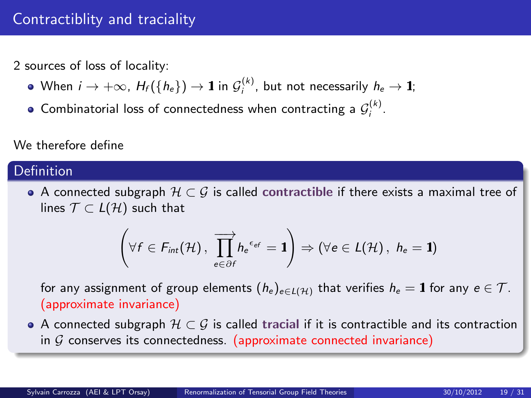## Contractiblity and traciality

2 sources of loss of locality:

- When  $i\to +\infty$ ,  $H_f(\{h_e\})\to \mathbf{1}$  in  $\mathcal{G}_i^{(k)}$ , but not necessarily  $h_e\to \mathbf{1};$
- Combinatorial loss of connectedness when contracting a  $\mathcal{G}_i^{(k)}$ .

#### We therefore define

### Definition

 $\bullet$  A connected subgraph  $\mathcal{H} \subset \mathcal{G}$  is called contractible if there exists a maximal tree of lines  $\mathcal{T} \subset L(\mathcal{H})$  such that

$$
\left(\forall f \in \mathit{F}_{\mathit{int}}(\mathcal{H}) \, , \, \overrightarrow{\prod_{e \in \partial f}} h_e^{-\epsilon_{ef}} = \mathbf{1}\right) \Rightarrow (\forall e \in \mathit{L}(\mathcal{H}) \, , \ h_e = \mathbf{1})
$$

for any assignment of group elements  $(h_e)_{e \in L(H)}$  that verifies  $h_e = 1$  for any  $e \in T$ . (approximate invariance)

 $\bullet$  A connected subgraph  $\mathcal{H} \subset \mathcal{G}$  is called tracial if it is contractible and its contraction in  $G$  conserves its connectedness. (approximate connected invariance)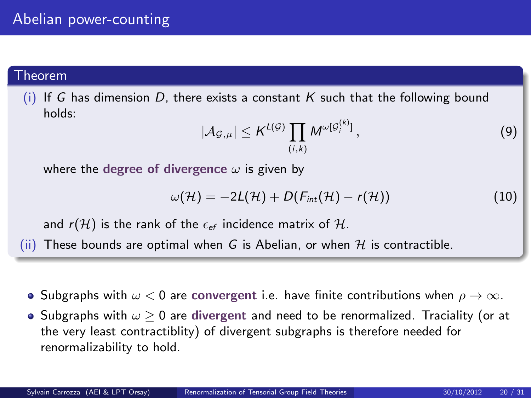#### Theorem

(i) If G has dimension D, there exists a constant K such that the following bound holds:

$$
|\mathcal{A}_{\mathcal{G},\mu}| \leq K^{L(\mathcal{G})} \prod_{(i,k)} M^{\omega[\mathcal{G}_i^{(k)}]},\tag{9}
$$

where the degree of divergence  $\omega$  is given by

$$
\omega(\mathcal{H})=-2L(\mathcal{H})+D(F_{int}(\mathcal{H})-r(\mathcal{H}))
$$
\n(10)

and  $r(\mathcal{H})$  is the rank of the  $\epsilon_{\text{ef}}$  incidence matrix of  $\mathcal{H}$ .

(ii) These bounds are optimal when G is Abelian, or when  $H$  is contractible.

- Subgraphs with  $\omega < 0$  are convergent i.e. have finite contributions when  $\rho \to \infty$ .
- $\bullet$  Subgraphs with  $\omega \geq 0$  are divergent and need to be renormalized. Traciality (or at the very least contractiblity) of divergent subgraphs is therefore needed for renormalizability to hold.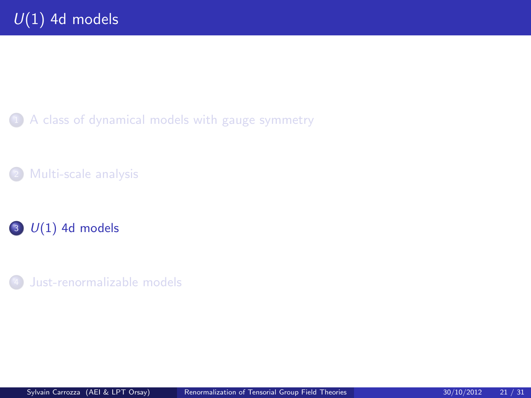1 [A class of dynamical models with gauge symmetry](#page-4-0)

[Multi-scale analysis](#page-14-0)

# $3$   $U(1)$  4d models

<span id="page-20-0"></span><sup>4</sup> [Just-renormalizable models](#page-25-0)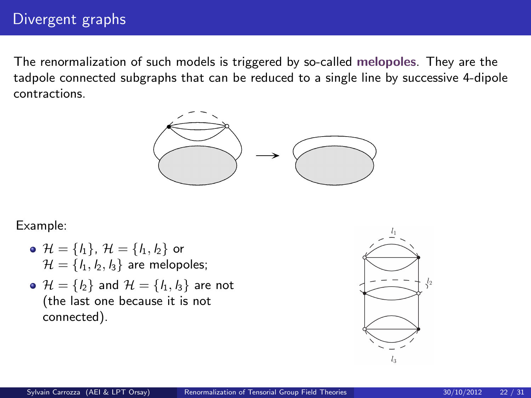## Divergent graphs

The renormalization of such models is triggered by so-called melopoles. They are the tadpole connected subgraphs that can be reduced to a single line by successive 4-dipole contractions.



#### Example:

- $\mathcal{H} = \{l_1\}, \; \mathcal{H} = \{l_1, l_2\}$  or  $\mathcal{H} = \{l_1, l_2, l_3\}$  are melopoles;
- $\bullet$   $\mathcal{H} = \{l_2\}$  and  $\mathcal{H} = \{l_1, l_3\}$  are not (the last one because it is not connected).

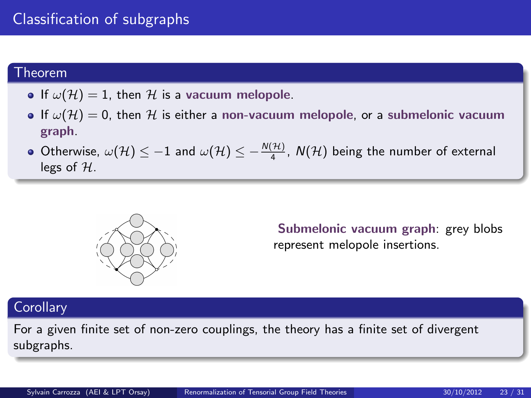## Classification of subgraphs

#### Theorem

- If  $\omega(\mathcal{H}) = 1$ , then  $\mathcal{H}$  is a vacuum melopole.
- If  $\omega(\mathcal{H}) = 0$ , then  $\mathcal H$  is either a non-vacuum melopole, or a submelonic vacuum graph.
- Otherwise,  $\omega(\mathcal{H}) \leq -1$  and  $\omega(\mathcal{H}) \leq -\frac{N(\mathcal{H})}{4}$ ,  $N(\mathcal{H})$  being the number of external legs of  $H$ .



Submelonic vacuum graph: grey blobs represent melopole insertions.

### **Corollary**

For a given finite set of non-zero couplings, the theory has a finite set of divergent subgraphs.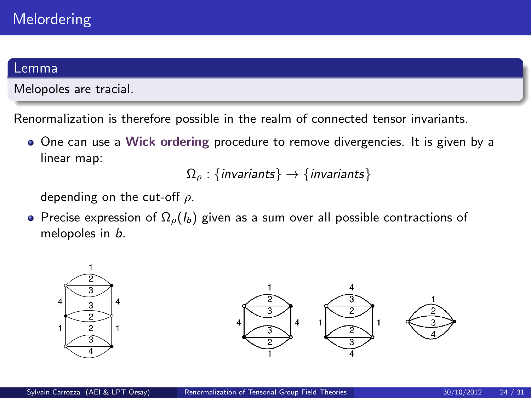#### Lemma

Melopoles are tracial.

Renormalization is therefore possible in the realm of connected tensor invariants.

One can use a Wick ordering procedure to remove divergencies. It is given by a linear map:

$$
\Omega_{\rho} : \{\text{invariants}\} \to \{\text{invariants}\}
$$

depending on the cut-off  $\rho$ .

• Precise expression of  $\Omega_{\rho}(I_b)$  given as a sum over all possible contractions of melopoles in b.

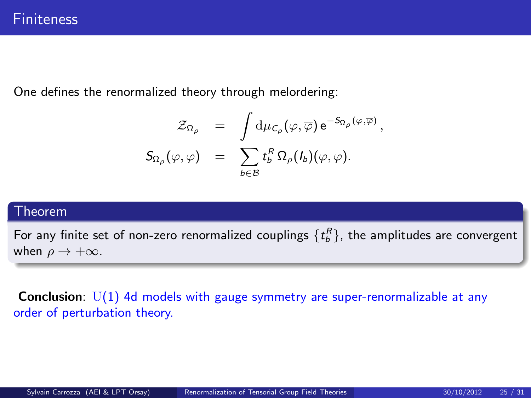One defines the renormalized theory through melordering:

$$
\begin{array}{rcl} \mathcal{Z}_{\Omega_{\rho}} & = & \displaystyle \int \mathrm{d}\mu_{\mathcal{C}_{\rho}}(\varphi,\overline{\varphi})\, \mathrm{e}^{-S_{\Omega_{\rho}}(\varphi,\overline{\varphi})}\, , \\ S_{\Omega_{\rho}}(\varphi,\overline{\varphi}) & = & \displaystyle \sum_{b \in \mathcal{B}} t^R_b \, \Omega_{\rho}(I_b)(\varphi,\overline{\varphi}) . \end{array}
$$

#### Theorem

For any finite set of non-zero renormalized couplings  $\{t_b^R\},$  the amplitudes are convergent when  $\rho \rightarrow +\infty$ .

**Conclusion:**  $U(1)$  4d models with gauge symmetry are super-renormalizable at any order of perturbation theory.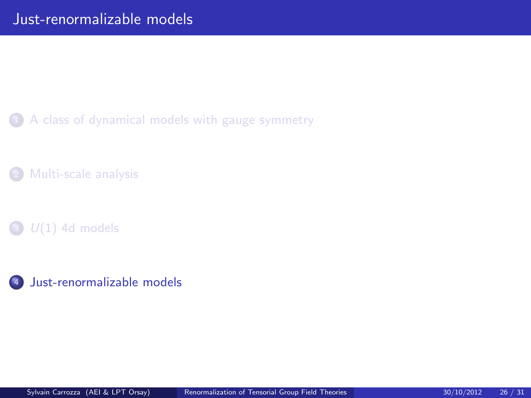1 [A class of dynamical models with gauge symmetry](#page-4-0)

[Multi-scale analysis](#page-14-0)

 $\bullet$   $U(1)$  4d models

<span id="page-25-0"></span><sup>4</sup> [Just-renormalizable models](#page-25-0)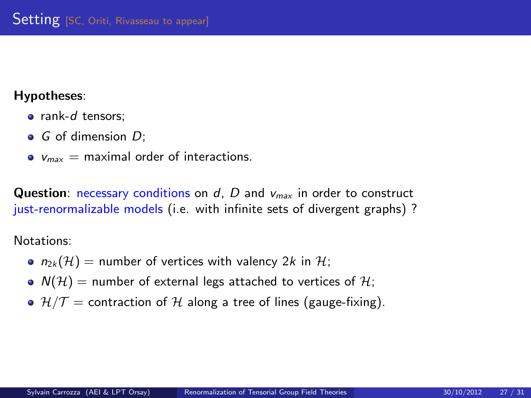#### Hypotheses:

- rank-d tensors;
- $\bullet$  G of dimension D:
- $\bullet$   $V_{max}$  = maximal order of interactions.

**Question:** necessary conditions on  $d$ ,  $D$  and  $v_{max}$  in order to construct just-renormalizable models (i.e. with infinite sets of divergent graphs)?

Notations:

- $n_{2k}(\mathcal{H})$  = number of vertices with valency 2k in H;
- $N(\mathcal{H})$  = number of external legs attached to vertices of  $\mathcal{H}$ ;
- $\bullet$   $\mathcal{H}/\mathcal{T}$  = contraction of  $\mathcal{H}$  along a tree of lines (gauge-fixing).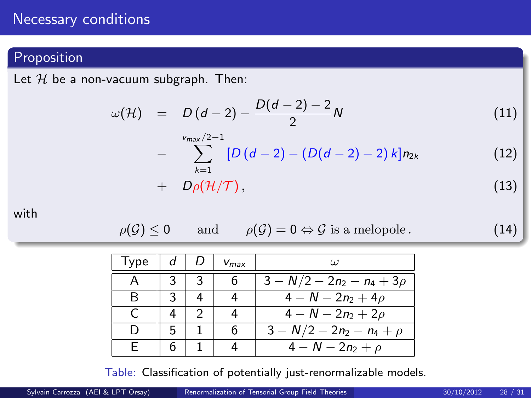### Necessary conditions

## **Proposition**

Let  $H$  be a non-vacuum subgraph. Then:

$$
\omega(\mathcal{H}) = D(d-2) - \frac{D(d-2) - 2}{2}N \tag{11}
$$

$$
-\sum_{k=1}^{\text{Vmax}/2-1}[D(d-2)-(D(d-2)-2)k]n_{2k} \qquad (12)
$$

$$
+ D\rho(\mathcal{H}/\mathcal{T}), \qquad (13)
$$

with

$$
\rho(\mathcal{G}) \le 0 \quad \text{and} \quad \rho(\mathcal{G}) = 0 \Leftrightarrow \mathcal{G} \text{ is a melopole.} \tag{14}
$$

| Type |  | $V_{max}$ | (1)                                     |
|------|--|-----------|-----------------------------------------|
|      |  |           | $\overline{3-N/2} - 2n_2 - n_4 + 3\rho$ |
| R    |  |           | $4 - N - 2n_2 + 4\rho$                  |
|      |  |           | $4 - N - 2n_2 + 2\rho$                  |
|      |  | 6         | $\sqrt{3-N}/2-2n_2-n_4+\rho$            |
|      |  |           | $\overline{4-N} - 2n_2 + \rho$          |

Table: Classification of potentially just-renormalizable models.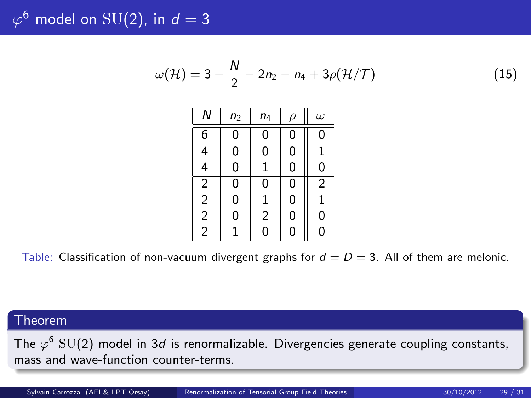$\varphi^6$  model on  $\mathrm{SU}(2)$ , in  $d=3$ 

$$
\omega(\mathcal{H}) = 3 - \frac{N}{2} - 2n_2 - n_4 + 3\rho(\mathcal{H}/\mathcal{T})
$$
\n(15)

| Ν                                          | n <sub>2</sub> | $n_4$          | ρ | $\omega$       |
|--------------------------------------------|----------------|----------------|---|----------------|
| 6                                          | 0              | 0              | 0 | 0              |
| 4<br>4                                     | 0              | 0              | 0 | 1              |
|                                            | 0              | 1              | 0 | 0              |
|                                            | 0              | 0              | 0 | $\overline{2}$ |
|                                            | 0              | 1              | 0 | 1              |
| $\begin{array}{c} 2 \\ 2 \\ 2 \end{array}$ | 0              | $\overline{2}$ | 0 | 0              |
|                                            | 1              | 0              | 0 | 0              |

Table: Classification of non-vacuum divergent graphs for  $d = D = 3$ . All of them are melonic.

#### Theorem

The  $\varphi^6$  SU(2) model in 3*d* is renormalizable. Divergencies generate coupling constants, mass and wave-function counter-terms.

Sylvain Carrozza (AEI & LPT Orsay) [Renormalization of Tensorial Group Field Theories](#page-0-0) 30/10/2012 29 / 31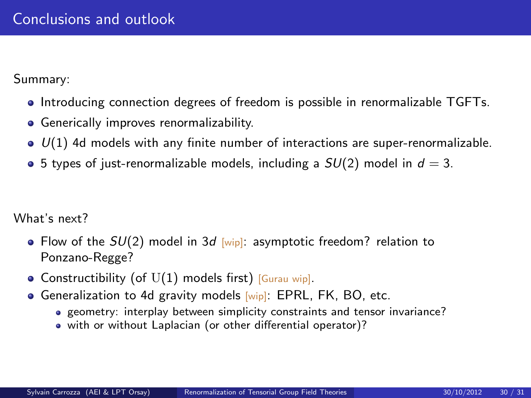Summary:

- Introducing connection degrees of freedom is possible in renormalizable TGFTs.
- **•** Generically improves renormalizability.
- $\bullet$   $U(1)$  4d models with any finite number of interactions are super-renormalizable.
- 5 types of just-renormalizable models, including a  $SU(2)$  model in  $d=3$ .

What's next?

- Flow of the  $SU(2)$  model in 3d [wip]: asymptotic freedom? relation to Ponzano-Regge?
- Constructibility (of  $U(1)$  models first) [Gurau wip].
- **Generalization to 4d gravity models [wip]: EPRL, FK, BO, etc.** 
	- geometry: interplay between simplicity constraints and tensor invariance?
	- with or without Laplacian (or other differential operator)?